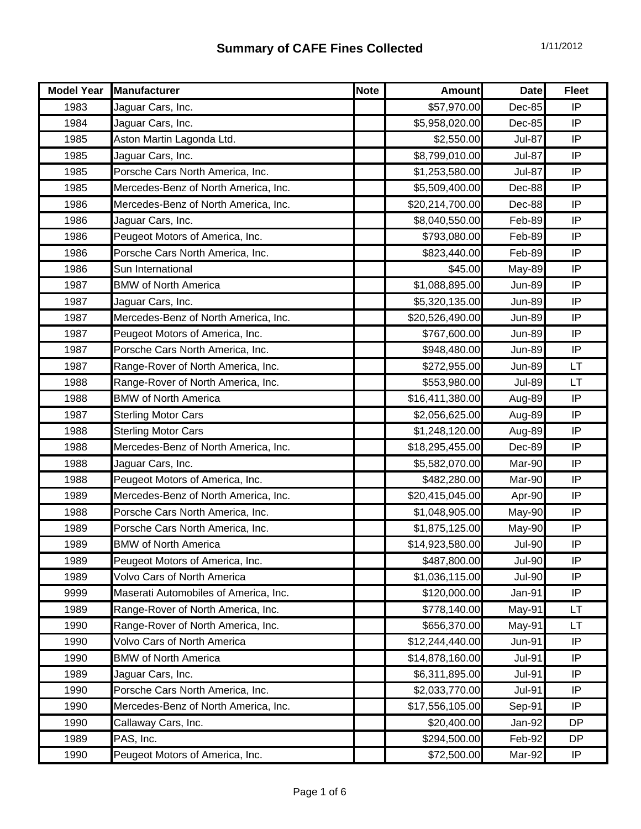| <b>Model Year</b> | Manufacturer                          | <b>Note</b> | <b>Amount</b>   | <b>Date</b>   | <b>Fleet</b> |
|-------------------|---------------------------------------|-------------|-----------------|---------------|--------------|
| 1983              | Jaguar Cars, Inc.                     |             | \$57,970.00     | Dec-85        | IP           |
| 1984              | Jaguar Cars, Inc.                     |             | \$5,958,020.00  | Dec-85        | IP           |
| 1985              | Aston Martin Lagonda Ltd.             |             | \$2,550.00      | <b>Jul-87</b> | IP           |
| 1985              | Jaguar Cars, Inc.                     |             | \$8,799,010.00  | <b>Jul-87</b> | IP           |
| 1985              | Porsche Cars North America, Inc.      |             | \$1,253,580.00  | <b>Jul-87</b> | IP           |
| 1985              | Mercedes-Benz of North America, Inc.  |             | \$5,509,400.00  | Dec-88        | IP           |
| 1986              | Mercedes-Benz of North America, Inc.  |             | \$20,214,700.00 | Dec-88        | IP           |
| 1986              | Jaguar Cars, Inc.                     |             | \$8,040,550.00  | Feb-89        | IP           |
| 1986              | Peugeot Motors of America, Inc.       |             | \$793,080.00    | Feb-89        | IP           |
| 1986              | Porsche Cars North America, Inc.      |             | \$823,440.00    | Feb-89        | IP           |
| 1986              | Sun International                     |             | \$45.00         | May-89        | IP           |
| 1987              | <b>BMW of North America</b>           |             | \$1,088,895.00  | <b>Jun-89</b> | IP           |
| 1987              | Jaguar Cars, Inc.                     |             | \$5,320,135.00  | <b>Jun-89</b> | IP           |
| 1987              | Mercedes-Benz of North America, Inc.  |             | \$20,526,490.00 | <b>Jun-89</b> | IP           |
| 1987              | Peugeot Motors of America, Inc.       |             | \$767,600.00    | <b>Jun-89</b> | IP           |
| 1987              | Porsche Cars North America, Inc.      |             | \$948,480.00    | <b>Jun-89</b> | IP           |
| 1987              | Range-Rover of North America, Inc.    |             | \$272,955.00    | <b>Jun-89</b> | LT           |
| 1988              | Range-Rover of North America, Inc.    |             | \$553,980.00    | <b>Jul-89</b> | LT           |
| 1988              | <b>BMW of North America</b>           |             | \$16,411,380.00 | Aug-89        | IP           |
| 1987              | <b>Sterling Motor Cars</b>            |             | \$2,056,625.00  | Aug-89        | IP           |
| 1988              | <b>Sterling Motor Cars</b>            |             | \$1,248,120.00  | Aug-89        | IP           |
| 1988              | Mercedes-Benz of North America, Inc.  |             | \$18,295,455.00 | Dec-89        | IP           |
| 1988              | Jaguar Cars, Inc.                     |             | \$5,582,070.00  | Mar-90        | IP           |
| 1988              | Peugeot Motors of America, Inc.       |             | \$482,280.00    | Mar-90        | IP           |
| 1989              | Mercedes-Benz of North America, Inc.  |             | \$20,415,045.00 | Apr-90        | IP           |
| 1988              | Porsche Cars North America, Inc.      |             | \$1,048,905.00  | May-90        | IP           |
| 1989              | Porsche Cars North America, Inc.      |             | \$1,875,125.00  | May-90        | IP           |
| 1989              | <b>BMW of North America</b>           |             | \$14,923,580.00 | <b>Jul-90</b> | IP           |
| 1989              | Peugeot Motors of America, Inc.       |             | \$487,800.00    | <b>Jul-90</b> | IP           |
| 1989              | Volvo Cars of North America           |             | \$1,036,115.00  | <b>Jul-90</b> | IP           |
| 9999              | Maserati Automobiles of America, Inc. |             | \$120,000.00    | Jan-91        | IP           |
| 1989              | Range-Rover of North America, Inc.    |             | \$778,140.00    | May-91        | LT.          |
| 1990              | Range-Rover of North America, Inc.    |             | \$656,370.00    | May-91        | LT           |
| 1990              | Volvo Cars of North America           |             | \$12,244,440.00 | <b>Jun-91</b> | IP           |
| 1990              | <b>BMW of North America</b>           |             | \$14,878,160.00 | <b>Jul-91</b> | IP           |
| 1989              | Jaguar Cars, Inc.                     |             | \$6,311,895.00  | <b>Jul-91</b> | IP           |
| 1990              | Porsche Cars North America, Inc.      |             | \$2,033,770.00  | <b>Jul-91</b> | IP           |
| 1990              | Mercedes-Benz of North America, Inc.  |             | \$17,556,105.00 | Sep-91        | IP           |
| 1990              | Callaway Cars, Inc.                   |             | \$20,400.00     | Jan-92        | DP           |
| 1989              | PAS, Inc.                             |             | \$294,500.00    | Feb-92        | DP           |
| 1990              | Peugeot Motors of America, Inc.       |             | \$72,500.00     | Mar-92        | ΙP           |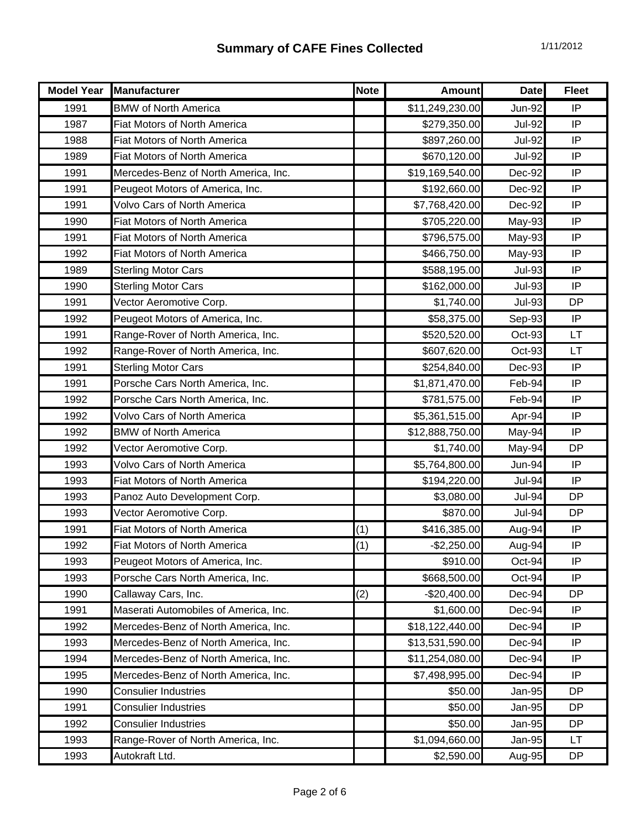| <b>Model Year</b> | <b>Manufacturer</b>                   | <b>Note</b> | <b>Amount</b>   | <b>Date</b>   | <b>Fleet</b> |
|-------------------|---------------------------------------|-------------|-----------------|---------------|--------------|
| 1991              | <b>BMW of North America</b>           |             | \$11,249,230.00 | <b>Jun-92</b> | IP           |
| 1987              | <b>Fiat Motors of North America</b>   |             | \$279,350.00    | <b>Jul-92</b> | IP           |
| 1988              | <b>Fiat Motors of North America</b>   |             | \$897,260.00    | <b>Jul-92</b> | IP           |
| 1989              | <b>Fiat Motors of North America</b>   |             | \$670,120.00    | <b>Jul-92</b> | IP           |
| 1991              | Mercedes-Benz of North America, Inc.  |             | \$19,169,540.00 | Dec-92        | IP           |
| 1991              | Peugeot Motors of America, Inc.       |             | \$192,660.00    | Dec-92        | IP           |
| 1991              | Volvo Cars of North America           |             | \$7,768,420.00  | Dec-92        | IP           |
| 1990              | <b>Fiat Motors of North America</b>   |             | \$705,220.00    | May-93        | IP           |
| 1991              | Fiat Motors of North America          |             | \$796,575.00    | May-93        | IP           |
| 1992              | Fiat Motors of North America          |             | \$466,750.00    | May-93        | IP           |
| 1989              | <b>Sterling Motor Cars</b>            |             | \$588,195.00    | <b>Jul-93</b> | IP           |
| 1990              | <b>Sterling Motor Cars</b>            |             | \$162,000.00    | <b>Jul-93</b> | IP           |
| 1991              | Vector Aeromotive Corp.               |             | \$1,740.00      | <b>Jul-93</b> | <b>DP</b>    |
| 1992              | Peugeot Motors of America, Inc.       |             | \$58,375.00     | Sep-93        | IP           |
| 1991              | Range-Rover of North America, Inc.    |             | \$520,520.00    | Oct-93        | LT           |
| 1992              | Range-Rover of North America, Inc.    |             | \$607,620.00    | Oct-93        | <b>LT</b>    |
| 1991              | <b>Sterling Motor Cars</b>            |             | \$254,840.00    | Dec-93        | IP           |
| 1991              | Porsche Cars North America, Inc.      |             | \$1,871,470.00  | Feb-94        | IP           |
| 1992              | Porsche Cars North America, Inc.      |             | \$781,575.00    | Feb-94        | IP           |
| 1992              | <b>Volvo Cars of North America</b>    |             | \$5,361,515.00  | Apr-94        | IP           |
| 1992              | <b>BMW of North America</b>           |             | \$12,888,750.00 | May-94        | IP           |
| 1992              | Vector Aeromotive Corp.               |             | \$1,740.00      | May-94        | <b>DP</b>    |
| 1993              | <b>Volvo Cars of North America</b>    |             | \$5,764,800.00  | Jun-94        | IP           |
| 1993              | Fiat Motors of North America          |             | \$194,220.00    | <b>Jul-94</b> | IP           |
| 1993              | Panoz Auto Development Corp.          |             | \$3,080.00      | <b>Jul-94</b> | <b>DP</b>    |
| 1993              | Vector Aeromotive Corp.               |             | \$870.00        | <b>Jul-94</b> | <b>DP</b>    |
| 1991              | <b>Fiat Motors of North America</b>   | (1)         | \$416,385.00    | Aug-94        | IP           |
| 1992              | Fiat Motors of North America          | (1)         | $-$2,250.00$    | Aug-94        | IP           |
| 1993              | Peugeot Motors of America, Inc.       |             | \$910.00        | Oct-94        | IP           |
| 1993              | Porsche Cars North America, Inc.      |             | \$668,500.00    | Oct-94        | IP           |
| 1990              | Callaway Cars, Inc.                   | (2)         | $-$20,400.00$   | Dec-94        | <b>DP</b>    |
| 1991              | Maserati Automobiles of America, Inc. |             | \$1,600.00      | Dec-94        | IP           |
| 1992              | Mercedes-Benz of North America, Inc.  |             | \$18,122,440.00 | Dec-94        | IP           |
| 1993              | Mercedes-Benz of North America, Inc.  |             | \$13,531,590.00 | Dec-94        | IP           |
| 1994              | Mercedes-Benz of North America, Inc.  |             | \$11,254,080.00 | Dec-94        | IP           |
| 1995              | Mercedes-Benz of North America, Inc.  |             | \$7,498,995.00  | Dec-94        | IP           |
| 1990              | <b>Consulier Industries</b>           |             | \$50.00         | <b>Jan-95</b> | DP           |
| 1991              | <b>Consulier Industries</b>           |             | \$50.00         | <b>Jan-95</b> | <b>DP</b>    |
| 1992              | <b>Consulier Industries</b>           |             | \$50.00         | <b>Jan-95</b> | DP           |
| 1993              | Range-Rover of North America, Inc.    |             | \$1,094,660.00  | Jan-95        | LT           |
| 1993              | Autokraft Ltd.                        |             | \$2,590.00      | Aug-95        | DP           |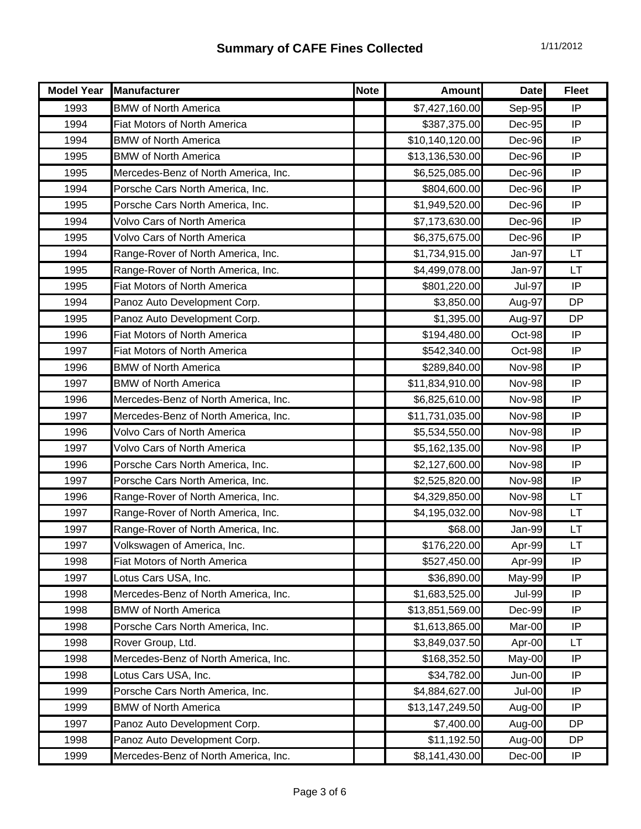| <b>Model Year</b> | Manufacturer                         | <b>Note</b> | <b>Amount</b>   | <b>Date</b>   | <b>Fleet</b> |
|-------------------|--------------------------------------|-------------|-----------------|---------------|--------------|
| 1993              | <b>BMW of North America</b>          |             | \$7,427,160.00  | Sep-95        | IP           |
| 1994              | Fiat Motors of North America         |             | \$387,375.00    | <b>Dec-95</b> | IP           |
| 1994              | <b>BMW of North America</b>          |             | \$10,140,120.00 | Dec-96        | IP           |
| 1995              | <b>BMW of North America</b>          |             | \$13,136,530.00 | Dec-96        | IP           |
| 1995              | Mercedes-Benz of North America, Inc. |             | \$6,525,085.00  | Dec-96        | IP           |
| 1994              | Porsche Cars North America, Inc.     |             | \$804,600.00    | Dec-96        | IP           |
| 1995              | Porsche Cars North America, Inc.     |             | \$1,949,520.00  | Dec-96        | IP           |
| 1994              | <b>Volvo Cars of North America</b>   |             | \$7,173,630.00  | Dec-96        | IP           |
| 1995              | Volvo Cars of North America          |             | \$6,375,675.00  | Dec-96        | IP           |
| 1994              | Range-Rover of North America, Inc.   |             | \$1,734,915.00  | Jan-97        | <b>LT</b>    |
| 1995              | Range-Rover of North America, Inc.   |             | \$4,499,078.00  | Jan-97        | LT           |
| 1995              | Fiat Motors of North America         |             | \$801,220.00    | <b>Jul-97</b> | IP           |
| 1994              | Panoz Auto Development Corp.         |             | \$3,850.00      | Aug-97        | <b>DP</b>    |
| 1995              | Panoz Auto Development Corp.         |             | \$1,395.00      | Aug-97        | <b>DP</b>    |
| 1996              | <b>Fiat Motors of North America</b>  |             | \$194,480.00    | Oct-98        | IP           |
| 1997              | Fiat Motors of North America         |             | \$542,340.00    | Oct-98        | IP           |
| 1996              | <b>BMW of North America</b>          |             | \$289,840.00    | Nov-98        | IP           |
| 1997              | <b>BMW of North America</b>          |             | \$11,834,910.00 | Nov-98        | IP           |
| 1996              | Mercedes-Benz of North America, Inc. |             | \$6,825,610.00  | Nov-98        | IP           |
| 1997              | Mercedes-Benz of North America, Inc. |             | \$11,731,035.00 | <b>Nov-98</b> | IP           |
| 1996              | <b>Volvo Cars of North America</b>   |             | \$5,534,550.00  | Nov-98        | IP           |
| 1997              | <b>Volvo Cars of North America</b>   |             | \$5,162,135.00  | <b>Nov-98</b> | IP           |
| 1996              | Porsche Cars North America, Inc.     |             | \$2,127,600.00  | <b>Nov-98</b> | IP           |
| 1997              | Porsche Cars North America, Inc.     |             | \$2,525,820.00  | Nov-98        | IP           |
| 1996              | Range-Rover of North America, Inc.   |             | \$4,329,850.00  | <b>Nov-98</b> | LT           |
| 1997              | Range-Rover of North America, Inc.   |             | \$4,195,032.00  | Nov-98        | LT           |
| 1997              | Range-Rover of North America, Inc.   |             | \$68.00         | Jan-99        | LT           |
| 1997              | Volkswagen of America, Inc.          |             | \$176,220.00    | Apr-99        | LT.          |
| 1998              | Fiat Motors of North America         |             | \$527,450.00    | Apr-99        | IP           |
| 1997              | Lotus Cars USA, Inc.                 |             | \$36,890.00     | May-99        | IP           |
| 1998              | Mercedes-Benz of North America, Inc. |             | \$1,683,525.00  | <b>Jul-99</b> | IP           |
| 1998              | <b>BMW of North America</b>          |             | \$13,851,569.00 | Dec-99        | IP           |
| 1998              | Porsche Cars North America, Inc.     |             | \$1,613,865.00  | Mar-00        | IP           |
| 1998              | Rover Group, Ltd.                    |             | \$3,849,037.50  | Apr-00        | LT           |
| 1998              | Mercedes-Benz of North America, Inc. |             | \$168,352.50    | May-00        | IP           |
| 1998              | Lotus Cars USA, Inc.                 |             | \$34,782.00     | Jun-00        | IP           |
| 1999              | Porsche Cars North America, Inc.     |             | \$4,884,627.00  | Jul-00        | IP           |
| 1999              | <b>BMW of North America</b>          |             | \$13,147,249.50 | Aug-00        | IP           |
| 1997              | Panoz Auto Development Corp.         |             | \$7,400.00      | Aug-00        | <b>DP</b>    |
| 1998              | Panoz Auto Development Corp.         |             | \$11,192.50     | Aug-00        | DP           |
| 1999              | Mercedes-Benz of North America, Inc. |             | \$8,141,430.00  | Dec-00        | IP           |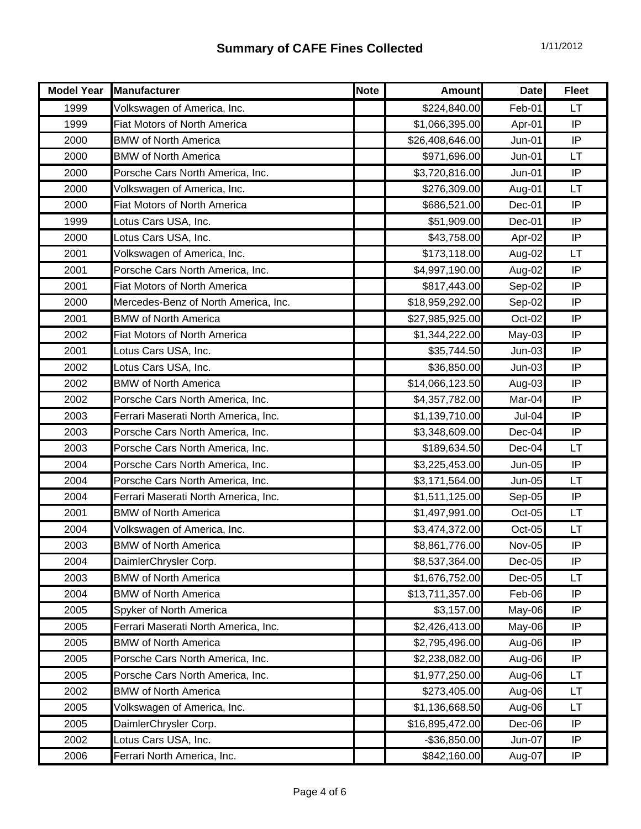| <b>Model Year</b> | Manufacturer                         | <b>Note</b> | <b>Amount</b>   | <b>Date</b>   | <b>Fleet</b> |
|-------------------|--------------------------------------|-------------|-----------------|---------------|--------------|
| 1999              | Volkswagen of America, Inc.          |             | \$224,840.00    | Feb-01        | LT           |
| 1999              | Fiat Motors of North America         |             | \$1,066,395.00  | Apr-01        | IP           |
| 2000              | <b>BMW of North America</b>          |             | \$26,408,646.00 | Jun-01        | IP           |
| 2000              | <b>BMW of North America</b>          |             | \$971,696.00    | $Jun-01$      | <b>LT</b>    |
| 2000              | Porsche Cars North America, Inc.     |             | \$3,720,816.00  | Jun-01        | IP           |
| 2000              | Volkswagen of America, Inc.          |             | \$276,309.00    | Aug-01        | LT           |
| 2000              | Fiat Motors of North America         |             | \$686,521.00    | Dec-01        | IP           |
| 1999              | Lotus Cars USA, Inc.                 |             | \$51,909.00     | Dec-01        | IP           |
| 2000              | Lotus Cars USA, Inc.                 |             | \$43,758.00     | Apr-02        | IP           |
| 2001              | Volkswagen of America, Inc.          |             | \$173,118.00    | Aug-02        | <b>LT</b>    |
| 2001              | Porsche Cars North America, Inc.     |             | \$4,997,190.00  | Aug-02        | IP           |
| 2001              | Fiat Motors of North America         |             | \$817,443.00    | Sep-02        | IP           |
| 2000              | Mercedes-Benz of North America, Inc. |             | \$18,959,292.00 | Sep-02        | IP           |
| 2001              | <b>BMW of North America</b>          |             | \$27,985,925.00 | Oct-02        | IP           |
| 2002              | Fiat Motors of North America         |             | \$1,344,222.00  | May-03        | IP           |
| 2001              | Lotus Cars USA, Inc.                 |             | \$35,744.50     | $Jun-03$      | IP           |
| 2002              | Lotus Cars USA, Inc.                 |             | \$36,850.00     | $Jun-03$      | IP           |
| 2002              | <b>BMW of North America</b>          |             | \$14,066,123.50 | Aug-03        | IP           |
| 2002              | Porsche Cars North America, Inc.     |             | \$4,357,782.00  | Mar-04        | IP           |
| 2003              | Ferrari Maserati North America, Inc. |             | \$1,139,710.00  | Jul-04        | IP           |
| 2003              | Porsche Cars North America, Inc.     |             | \$3,348,609.00  | Dec-04        | IP           |
| 2003              | Porsche Cars North America, Inc.     |             | \$189,634.50    | Dec-04        | LT           |
| 2004              | Porsche Cars North America, Inc.     |             | \$3,225,453.00  | <b>Jun-05</b> | IP           |
| 2004              | Porsche Cars North America, Inc.     |             | \$3,171,564.00  | <b>Jun-05</b> | <b>LT</b>    |
| 2004              | Ferrari Maserati North America, Inc. |             | \$1,511,125.00  | Sep-05        | IP           |
| 2001              | <b>BMW of North America</b>          |             | \$1,497,991.00  | Oct-05        | LT           |
| 2004              | Volkswagen of America, Inc.          |             | \$3,474,372.00  | Oct-05        | LT           |
| 2003              | <b>BMW of North America</b>          |             | \$8,861,776.00  | <b>Nov-05</b> | IP           |
| 2004              | DaimlerChrysler Corp.                |             | \$8,537,364.00  | $Dec-05$      | IP           |
| 2003              | <b>BMW of North America</b>          |             | \$1,676,752.00  | Dec-05        | LT           |
| 2004              | <b>BMW of North America</b>          |             | \$13,711,357.00 | Feb-06        | IP           |
| 2005              | Spyker of North America              |             | \$3,157.00      | May-06        | IP           |
| 2005              | Ferrari Maserati North America, Inc. |             | \$2,426,413.00  | May-06        | IP           |
| 2005              | <b>BMW of North America</b>          |             | \$2,795,496.00  | Aug-06        | IP           |
| 2005              | Porsche Cars North America, Inc.     |             | \$2,238,082.00  | Aug-06        | IP           |
| 2005              | Porsche Cars North America, Inc.     |             | \$1,977,250.00  | Aug-06        | <b>LT</b>    |
| 2002              | <b>BMW of North America</b>          |             | \$273,405.00    | Aug-06        | LT           |
| 2005              | Volkswagen of America, Inc.          |             | \$1,136,668.50  | Aug-06        | <b>LT</b>    |
| 2005              | DaimlerChrysler Corp.                |             | \$16,895,472.00 | Dec-06        | IP           |
| 2002              | Lotus Cars USA, Inc.                 |             | $-$36,850.00$   | Jun-07        | IP           |
| 2006              | Ferrari North America, Inc.          |             | \$842,160.00    | Aug-07        | IP           |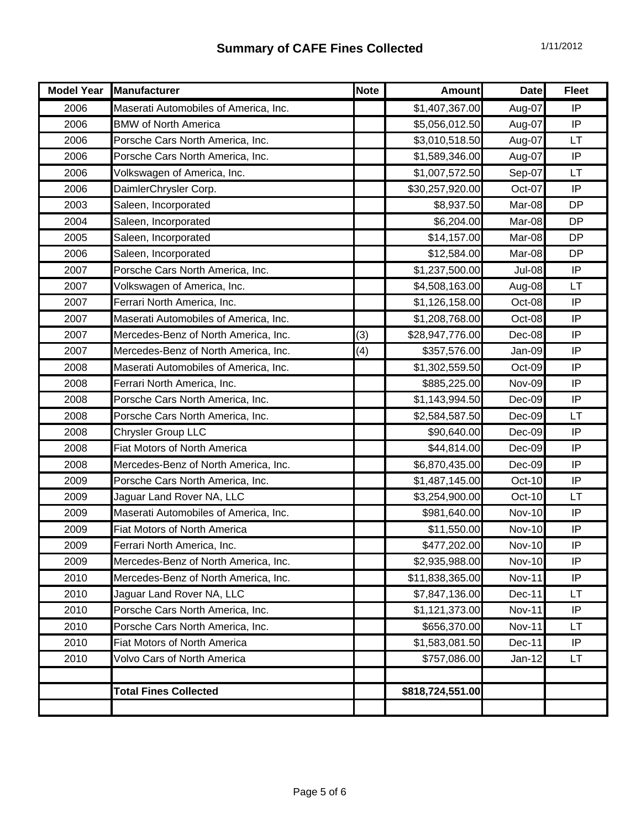| <b>Model Year</b> | <b>Manufacturer</b>                   | <b>Note</b> | <b>Amount</b>    | <b>Date</b>   | <b>Fleet</b> |
|-------------------|---------------------------------------|-------------|------------------|---------------|--------------|
| 2006              | Maserati Automobiles of America, Inc. |             | \$1,407,367.00   | Aug-07        | IP           |
| 2006              | <b>BMW of North America</b>           |             | \$5,056,012.50   | Aug-07        | IP           |
| 2006              | Porsche Cars North America, Inc.      |             | \$3,010,518.50   | Aug-07        | LT           |
| 2006              | Porsche Cars North America, Inc.      |             | \$1,589,346.00   | Aug-07        | IP           |
| 2006              | Volkswagen of America, Inc.           |             | \$1,007,572.50   | Sep-07        | <b>LT</b>    |
| 2006              | DaimlerChrysler Corp.                 |             | \$30,257,920.00  | Oct-07        | IP           |
| 2003              | Saleen, Incorporated                  |             | \$8,937.50       | Mar-08        | <b>DP</b>    |
| 2004              | Saleen, Incorporated                  |             | \$6,204.00       | Mar-08        | <b>DP</b>    |
| 2005              | Saleen, Incorporated                  |             | \$14,157.00      | Mar-08        | <b>DP</b>    |
| 2006              | Saleen, Incorporated                  |             | \$12,584.00      | Mar-08        | <b>DP</b>    |
| 2007              | Porsche Cars North America, Inc.      |             | \$1,237,500.00   | <b>Jul-08</b> | IP           |
| 2007              | Volkswagen of America, Inc.           |             | \$4,508,163.00   | Aug-08        | LT           |
| 2007              | Ferrari North America, Inc.           |             | \$1,126,158.00   | Oct-08        | IP           |
| 2007              | Maserati Automobiles of America, Inc. |             | \$1,208,768.00   | Oct-08        | IP           |
| 2007              | Mercedes-Benz of North America, Inc.  | (3)         | \$28,947,776.00  | Dec-08        | IP           |
| 2007              | Mercedes-Benz of North America, Inc.  | (4)         | \$357,576.00     | Jan-09        | IP           |
| 2008              | Maserati Automobiles of America, Inc. |             | \$1,302,559.50   | Oct-09        | IP           |
| 2008              | Ferrari North America, Inc.           |             | \$885,225.00     | Nov-09        | IP           |
| 2008              | Porsche Cars North America, Inc.      |             | \$1,143,994.50   | Dec-09        | IP           |
| 2008              | Porsche Cars North America, Inc.      |             | \$2,584,587.50   | Dec-09        | LT           |
| 2008              | <b>Chrysler Group LLC</b>             |             | \$90,640.00      | Dec-09        | IP           |
| 2008              | Fiat Motors of North America          |             | \$44,814.00      | Dec-09        | IP           |
| 2008              | Mercedes-Benz of North America, Inc.  |             | \$6,870,435.00   | Dec-09        | IP           |
| 2009              | Porsche Cars North America, Inc.      |             | \$1,487,145.00   | Oct-10        | IP           |
| 2009              | Jaguar Land Rover NA, LLC             |             | \$3,254,900.00   | Oct-10        | LT           |
| 2009              | Maserati Automobiles of America, Inc. |             | \$981,640.00     | <b>Nov-10</b> | IP           |
| 2009              | Fiat Motors of North America          |             | \$11,550.00      | <b>Nov-10</b> | IP           |
| 2009              | Ferrari North America, Inc.           |             | \$477,202.00     | <b>Nov-10</b> | ΙP           |
| 2009              | Mercedes-Benz of North America, Inc.  |             | \$2,935,988.00   | <b>Nov-10</b> | IP           |
| 2010              | Mercedes-Benz of North America, Inc.  |             | \$11,838,365.00  | <b>Nov-11</b> | IP           |
| 2010              | Jaguar Land Rover NA, LLC             |             | \$7,847,136.00   | Dec-11        | LT           |
| 2010              | Porsche Cars North America, Inc.      |             | \$1,121,373.00   | Nov-11        | IP           |
| 2010              | Porsche Cars North America, Inc.      |             | \$656,370.00     | <b>Nov-11</b> | LT           |
| 2010              | <b>Fiat Motors of North America</b>   |             | \$1,583,081.50   | Dec-11        | IP           |
| 2010              | <b>Volvo Cars of North America</b>    |             | \$757,086.00     | Jan-12        | LT           |
|                   |                                       |             |                  |               |              |
|                   | <b>Total Fines Collected</b>          |             | \$818,724,551.00 |               |              |
|                   |                                       |             |                  |               |              |